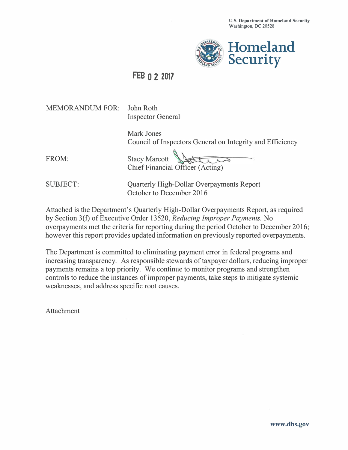

# **FEB 0 2 2017**

MEMORANDUM FOR: John Roth

Inspector General

Mark Jones Council of Inspectors General on Integrity and Efficiency

FROM: Stacy Marcott Chief Financial Officer (Acting)

SUBJECT: Quarterly High-Dollar Overpayments Report October to December 2016

Attached is the Department's Quarterly High-Dollar Overpayments Report, as required by Section 3(f) of Executive Order 13520, *Reducing Improper Payments.* No overpayments met the criteria for reporting during the period October to December 2016; however this report provides updated information on previously reported overpayments.

The Department is committed to eliminating payment error in federal programs and increasing transparency. As responsible stewards of taxpayer dollars, reducing improper payments remains a top priority. We continue to monitor programs and strengthen controls to reduce the instances of improper payments, take steps to mitigate systemic weaknesses, and address specific root causes.

Attachment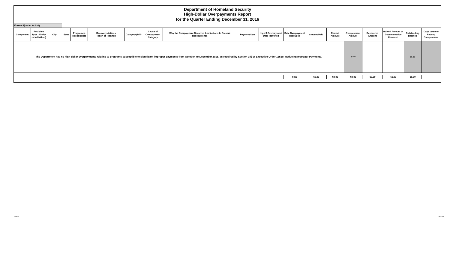2/2/2017

| <b>Current Quarter Activity</b> |                                                    |      |              |                           |                                                    |                       |                                            |                                                                                                                                                                                                                                |                     |                                                                  |          |                    |                   |                       |                     |                                                      |                               |                                        |
|---------------------------------|----------------------------------------------------|------|--------------|---------------------------|----------------------------------------------------|-----------------------|--------------------------------------------|--------------------------------------------------------------------------------------------------------------------------------------------------------------------------------------------------------------------------------|---------------------|------------------------------------------------------------------|----------|--------------------|-------------------|-----------------------|---------------------|------------------------------------------------------|-------------------------------|----------------------------------------|
| Component                       | Recipient<br><b>Type (Entity</b><br>or Individual) | City | <b>State</b> | Program(s)<br>Responsible | <b>Recovery Actions</b><br><b>Taken or Planned</b> | <b>Category (Bill</b> | <b>Cause of</b><br>Overpayment<br>Category | Why the Overpayment Occurred And Actions to Prevent<br>Reoccurrence                                                                                                                                                            | <b>Payment Date</b> | High \$ Overpayment   Date Overpayment<br><b>Date Identified</b> | Recouped | <b>Amount Paid</b> | Correct<br>Amount | Overpayment<br>Amount | Recovered<br>Amount | <b>Waived Amount or</b><br>Documentation<br>Received | Outstanding<br><b>Balance</b> | Days taken to<br>Recoup<br>Overpayment |
|                                 |                                                    |      |              |                           |                                                    |                       |                                            | The Department has no high-dollar overpayments relating to programs susceptible to significant improper payments from October to December 2016, as required by Section 3(f) of Executive Order 13520, Reducing Improper Paymen |                     |                                                                  |          |                    |                   | \$0.00                |                     |                                                      | \$0.00                        |                                        |
|                                 |                                                    |      |              |                           |                                                    |                       |                                            |                                                                                                                                                                                                                                |                     |                                                                  | Total    | \$0.00             | \$0.00            | \$0.00                | \$0.00              | \$0.00                                               | \$0.00                        |                                        |
|                                 |                                                    |      |              |                           |                                                    |                       |                                            |                                                                                                                                                                                                                                |                     |                                                                  |          |                    |                   |                       |                     |                                                      |                               |                                        |

Page 1 of 5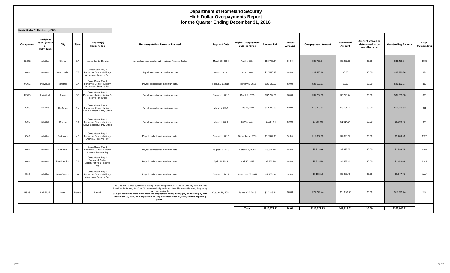| Recipient<br>Type (Entity)<br>Program(s)<br>City<br><b>State</b><br>Component<br>Responsible<br>ΩI                              | Recovery Action Taken or Planned                                                                                                                                                                                                                                                                                                                                                                               |                     |                                                      |                    |                   |                           |                     |                                                       |                            |                     |
|---------------------------------------------------------------------------------------------------------------------------------|----------------------------------------------------------------------------------------------------------------------------------------------------------------------------------------------------------------------------------------------------------------------------------------------------------------------------------------------------------------------------------------------------------------|---------------------|------------------------------------------------------|--------------------|-------------------|---------------------------|---------------------|-------------------------------------------------------|----------------------------|---------------------|
| Individual)                                                                                                                     |                                                                                                                                                                                                                                                                                                                                                                                                                | <b>Payment Date</b> | <b>High \$ Overpayment</b><br><b>Date Identified</b> | <b>Amount Paid</b> | Correct<br>Amount | <b>Overpayment Amount</b> | Recovered<br>Amount | Amount waived or<br>determined to be<br>uncollectable | <b>Outstanding Balance</b> | Days<br>Outstanding |
| <b>FLETC</b><br>Individual<br>Glynco<br>GA<br>Human Capital Division                                                            | A debt has been created with National Finance Center                                                                                                                                                                                                                                                                                                                                                           | March 26, 2014      | April 4, 2014                                        | \$36,725.84        | \$0.00            | \$36,725.84               | \$3,267.00          | \$0.00                                                | \$33,458.84                | 1002                |
| Coast Guard Pay &<br>CT<br><b>USCG</b><br>Personnel Center - Military<br>Individual<br>New London<br>Active and Reserve Pay     | Payroll deduction at maximum rate                                                                                                                                                                                                                                                                                                                                                                              | March 1, 2016       | April 1, 2016                                        | \$27,550.66        | \$0.00            | \$27,550.66               | \$0.00              | \$0.00                                                | \$27,550.66                | 274                 |
| Coast Guard Pay &<br><b>USCG</b><br>CA<br>Personnel Center - Military<br>Individual<br>Miramar<br>Active and Reserve Pay        | Payroll deduction at maximum rate.                                                                                                                                                                                                                                                                                                                                                                             | February 1, 2016    | February 5, 2016                                     | \$25,122.97        | \$0.00            | \$25,122.97               | \$0.00              | \$0.00                                                | \$25,122.97                | 330                 |
| Coast Guard Pay &<br><b>USCG</b><br>CO<br>Personnel - Military Active &<br>Individual<br>Aurora<br>Reserve Pay Office           | Payroll deduction at maximum rate                                                                                                                                                                                                                                                                                                                                                                              | January 1, 2015     | March 9, 2015                                        | \$37,254.30        | \$0.00            | \$37,254.30               | \$5,720.74          | \$0.00                                                | \$31,533,56                | 663                 |
| Coast Guard Pay &<br>USCG<br>Individual<br>St. Johns<br>FL.<br>Personnel Center - Military<br>Active & Reserve Pay Office       | Payroll deduction at maximum rate                                                                                                                                                                                                                                                                                                                                                                              | March 1, 2014       | May 15, 2014                                         | \$18,420.83        | \$0.00            | \$18,420.83               | \$3,191.21          | \$0.00                                                | \$15,229.62                | 961                 |
| Coast Guard Pay &<br><b>USCG</b><br>CA<br>Personnel Center - Military<br>Individual<br>Orange<br>Active & Reserve Pay Office    | Payroll deduction at maximum rate                                                                                                                                                                                                                                                                                                                                                                              | March 1, 2014       | May 1, 2014                                          | \$7,784.04         | \$0.00            | \$7,784.04                | \$1,914.64          | \$0.00                                                | \$5,869.40                 | 975                 |
| Coast Guard Pay &<br><b>USCG</b><br><b>MD</b><br>Individual<br>Personnel Center - Military<br>Baltimore<br>Active & Reserve Pay | Payroll deduction at maximum rate.                                                                                                                                                                                                                                                                                                                                                                             | October 1, 2013     | December 4, 2013                                     | \$12,307.00        | \$0.00            | \$12,307.00               | \$7,098.37          | \$0.00                                                | \$5,208.63                 | 1123                |
| Coast Guard Pay &<br><b>USCG</b><br>H1<br>Individual<br>Honolulu<br>Personnel Center - Military<br>Active & Reserve Pay         | Payroll deduction at maximum rate.                                                                                                                                                                                                                                                                                                                                                                             | August 15, 2013     | October 1, 2013                                      | \$5,318.99         | \$0.00            | \$5,318.99                | \$2,332.23          | \$0.00                                                | \$2,986.76                 | 1187                |
| Coast Guard Pay &<br>Personnel Center<br><b>USCG</b><br>CA<br>Individual<br>San Francisco<br>Military Active & Reserve<br>Pay   | Payroll deduction at maximum rate.                                                                                                                                                                                                                                                                                                                                                                             | April 15, 2013      | April 30, 2013                                       | \$5,923.50         | \$0.00            | \$5,923.50                | \$4,465.41          | \$0.00                                                | \$1,458.09                 | 1341                |
| Coast Guard Pay &<br><b>USCG</b><br>Individual<br>New Orleans<br>LA<br>Personnel Center - Military<br>Active and Reserve Pay    | Payroll deduction at maximum rate.                                                                                                                                                                                                                                                                                                                                                                             | October 1, 2011     | November 25, 2011                                    | \$7,135.16         | \$0.00            | \$7,135.16                | \$3,487.41          | \$0.00                                                | \$3,647.75                 | 1863                |
| USSS<br>Individual<br>Paris<br>Payroll<br>France                                                                                | The USSS employee agreed to a Salary Offset to repay the \$27,229.44 overpayment that was<br>identified in January 2015. \$250 is automatically deducted from his bi-weekly salary beginning<br>with pay period 6.<br>Salary deductions were made from the employee's salary during pay period 23 (pay date<br>December 08, 2016) and pay period 24 (pay date December 22, 2016) for this reporting<br>period. | October 18, 2014    | January 30, 2015                                     | \$27,229.44        | \$0.00            | \$27,229.44               | \$11,250.00         | \$0.00                                                | \$15,979.44                | 701                 |
|                                                                                                                                 |                                                                                                                                                                                                                                                                                                                                                                                                                |                     | Total                                                | \$210,772.73       | \$0.00            | \$210,772.73              | \$42,727.01         | \$0.00                                                | \$168,045.72               |                     |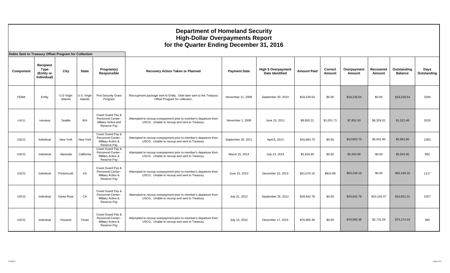| Debts Sent to Treasury Offset Program for Collection |                                                |                       |                        |                                                                               |                                                                                                                  |                     |                                                      |                    |                          |                       |                     |                               |                     |
|------------------------------------------------------|------------------------------------------------|-----------------------|------------------------|-------------------------------------------------------------------------------|------------------------------------------------------------------------------------------------------------------|---------------------|------------------------------------------------------|--------------------|--------------------------|-----------------------|---------------------|-------------------------------|---------------------|
| Component                                            | Recipient<br>Type<br>(Entity or<br>Individual) | City                  | <b>State</b>           | Program(s)<br>Responsible                                                     | <b>Recovery Action Taken or Planned</b>                                                                          | <b>Payment Date</b> | <b>High \$ Overpayment</b><br><b>Date Identified</b> | <b>Amount Paid</b> | <b>Correct</b><br>Amount | Overpayment<br>Amount | Recovered<br>Amount | Outstanding<br><b>Balance</b> | Days<br>Outstanding |
| <b>FEMA</b>                                          | Entity                                         | U.S Virgin<br>Islands | U.S. Virgin<br>Islands | Port Security Grant<br>Program                                                | Recoupment package sent to Entity. Debt later sent to the Treasury<br>Offset Program for collection.             | November 11, 2008   | September 30, 2010                                   | \$19,239.54        | \$0.00                   | \$19,239.54           | \$0.00              | \$19,239.54                   | 2284                |
| <b>USCG</b>                                          | Individual                                     | Seattle               | <b>WA</b>              | Coast Guard Pay &<br>Personnel Center -<br>Military Active and<br>Reserve Pay | Attempted to recoup overpayment prior to member's departure from<br>USCG. Unable to recoup and sent to Treasury. | November 1, 2008    | June 15, 2011                                        | \$8,903.21         | \$1,051.71               | \$7,851.50            | \$6,329.02          | \$1,522.48                    | 2026                |
| <b>USCG</b>                                          | Individual                                     | New York              | New York               | Coast Guard Pay &<br>Personnel Center -<br>Military Active &<br>Reserve Pay   | Attempted to recoup overpayment prior to member's departure from<br>USCG. Unable to recoup and sent to Treasury. | September 30, 2011  | April 8, 2013                                        | \$10,893.70        | \$0.00                   | \$10,893.70           | \$5,001.90          | \$5,891.80                    | 1363                |
| <b>USCG</b>                                          | Individual                                     | Alameda               | California             | Coast Guard Pay &<br>Personnel Center<br>Military Active &<br>Reserve Pay     | Attempted to recoup overpayment prior to member's departure from<br>USCG. Unable to recoup and sent to Treasury. | March 15, 2014      | July 23, 2014                                        | \$5,554.90         | \$0.00                   | \$5,554.90            | \$0.00              | \$5,554.90                    | 892                 |
| <b>USCG</b>                                          | Individual                                     | Portsmouth            | VA                     | Coast Guard Pay &<br>Personnel Center -<br>Military Active &<br>Reserve Pay   | Attempted to recoup overpayment prior to member's departure from<br>USCG. Unable to recoup and sent to Treasury. | June 15, 2013       | December 10, 2013                                    | \$51,074.15        | \$824.99                 | \$50,249.16           | \$0.00              | \$50,249.16                   | 1117                |
| <b>USCG</b>                                          | Individual                                     | Santa Rose            | CA                     | Coast Guard Pay &<br>Personnel Center<br>Military Active &<br>Reserve Pay     | Attempted to recoup overpayment prior to member's departure from<br>USCG. Unable to recoup and sent to Treasury. | July 31, 2012       | September 26, 2012                                   | \$29,842.78        | \$0.00                   | \$29,842.78           | \$19,191.47         | \$10,651.31                   | 1557                |
| <b>USCG</b>                                          | Individual                                     | Houston               | Texas                  | Coast Guard Pay &<br>Personnel Center -<br>Military Active &<br>Reserve Pay   | Attempted to recoup overpayment prior to member's departure from<br>USCG. Unable to recoup and sent to Treasury. | July 15, 2015       | December 17, 2015                                    | \$76,905.38        | \$0.00                   | \$76,905.38           | \$2,731.04          | \$74,174.34                   | 380                 |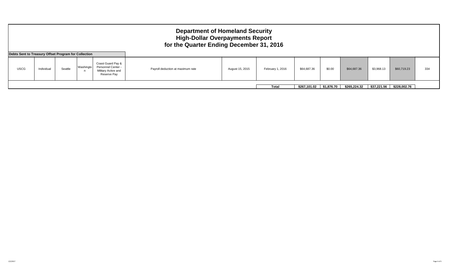### **Department of Homeland Security High-Dollar Overpayments Report for the Quarter Ending December 31, 2016 Debts Sent to Treasury Offset Program for Collection** USCG Individual Seattle Washingto n Coast Guard Pay & Personnel Center - Military Active and Reserve Pay Payroll deduction at maximum rate **August 15, 2015** February 1, 2016 \$64,687.36 \$0.00 \$64,687.36 \$3,968.13 \$60,719.23 334 **Total \$267,101.02 \$1,876.70 \$265,224.32 \$37,221.56 \$228,002.76**